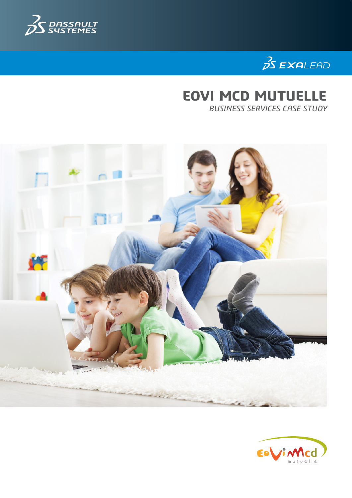



# **EOVI MCD MUTUELLE BUSINESS SERVICES CASE STUDY**



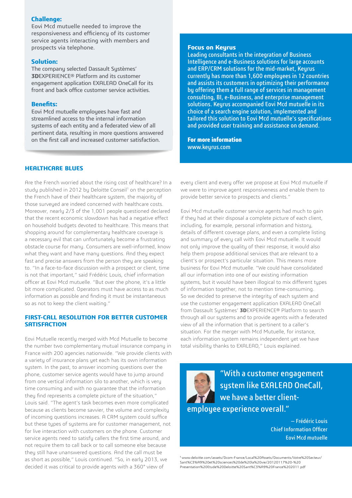#### **Challenge:**

Eovi Mcd mutuelle needed to improve the responsiveness and efficiency of its customer service agents interacting with members and prospects via telephone.

## **Solution:**

The company selected Dassault Systèmes' **3D**EXPERIENCE® Platform and its customer engagement application EXALEAD OneCall for its front and back office customer service activities.

#### **Benefits:**

Eovi Mcd mutuelle employees have fast and streamlined access to the internal information systems of each entity and a federated view of all pertinent data, resulting in more questions answered on the first call and increased customer satisfaction.

## **Healthcare blues**

Are the French worried about the rising cost of healthcare? In a study published in 2012 by Deloitte Conseil<sup>1</sup> on the perception the French have of their healthcare system, the majority of those surveyed are indeed concerned with healthcare costs. Moreover, nearly 2/3 of the 1,001 people questioned declared that the recent economic slowdown has had a negative effect on household budgets devoted to healthcare. This means that shopping around for complementary healthcare coverage is a necessary evil that can unfortunately become a frustrating obstacle course for many. Consumers are well-informed, know what they want and have many questions. And they expect fast and precise answers from the person they are speaking to. "In a face-to-face discussion with a prospect or client, time is not that important," said Frédéric Louis, chief information officer at Eovi Mcd mutuelle. "But over the phone, it's a little bit more complicated. Operators must have access to as much information as possible and finding it must be instantaneous so as not to keep the client waiting."

#### **First-call resolution for better customer satisfaction**

Eovi Mutuelle recently merged with Mcd Mutuelle to become the number two complementary mutual insurance company in France with 200 agencies nationwide. "We provide clients with a variety of insurance plans yet each has its own information system. In the past, to answer incoming questions over the phone, customer service agents would have to jump around from one vertical information silo to another, which is very time consuming and with no guarantee that the information they find represents a complete picture of the situation," Louis said. "The agent's task becomes even more complicated because as clients become savvier, the volume and complexity of incoming questions increases. A CRM sustem could suffice but these types of systems are for customer management, not for live interaction with customers on the phone. Customer service agents need to satisfy callers the first time around, and not require them to call back or to call someone else because they still have unanswered questions. And the call must be as short as possible," Louis continued. "So, in early 2013, we decided it was critical to provide agents with a 360° view of

#### **Focus on Keyrus**

Leading consultants in the integration of Business Intelligence and e-Business solutions for large accounts and ERP/CRM solutions for the mid-market, Keyrus currently has more than 1,600 employees in 12 countries and assists its customers in optimizing their performance by offering them a full range of services in management consulting, BI, e-Business, and enterprise management solutions. Keyrus accompanied Eovi Mcd mutuelle in its choice of a search engine solution, implemented and tailored this solution to Eovi Mcd mutuelle's specifications and provided user training and assistance on demand.

**For more information** www.keyrus.com

every client and every offer we propose at Eovi Mcd mutuelle if we were to improve agent responsiveness and enable them to provide better service to prospects and clients."

Eovi Mcd mutuelle customer service agents had much to gain if they had at their disposal a complete picture of each client, including, for example, personal information and history, details of different coverage plans, and even a complete listing and summary of every call with Eovi Mcd mutuelle. It would not only improve the quality of their response, it would also help them propose additional services that are relevant to a client's or prospect's particular situation. This means more business for Eovi Mcd mutuelle. "We could have consolidated all our information into one of our existing information systems, but it would have been illogical to mix different types of information together, not to mention time-consuming. So we decided to preserve the integrity of each system and use the customer engagement application EXALEAD OneCall from Dassault Systèmes' **3D**EXPERIENCE® Platform to search through all our systems and to provide agents with a federated view of all the information that is pertinent to a caller's situation. For the merger with Mcd Mutuelle, for instance, each information system remains independent yet we have total visibility thanks to EXALEAD," Louis explained.



"With a customer engagement system like EXALEAD OneCall, we have a better clientemployee experience overall."

> — Frédéric Louis Chief Information Officer Eovi Mcd mutuelle

1 www.deloitte.com/assets/Dcom-France/Local%20Assets/Documents/Votre%20Secteur/ Sant%C3%A9%20et%20sciences%20de%20la%20vie/20120117%20-%20 Presentation%20Etude%20Deloitte%20Sant%C3%A9%20France%202011.pdf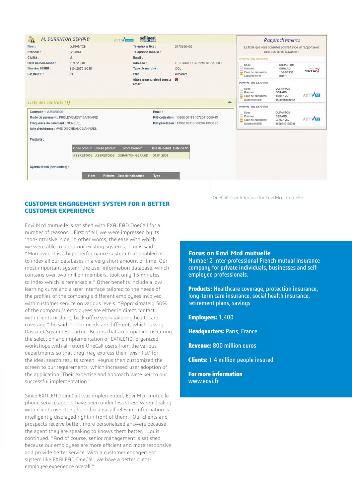

## **Customer engagement system for a better customer experience**

Eovi Mcd mutuelle is satisfied with EXALEAD OneCall for a number of reasons. "First of all, we were impressed by its 'non-intrusive' side, in other words, the ease with which we were able to index our existing systems," Louis said. "Moreover, it is a high-performance system that enabled us to index all our databases in a very short amount of time. Our most important system, the user information database, which contains over two million members, took only 15 minutes to index which is remarkable." Other benefits include a low learning curve and a user interface tailored to the needs of the profiles of the company's different employees involved with customer service on various levels. "Approximately 50% of the company's employees are either in direct contact with clients or doing back office work tailoring healthcare coverage," he said. "Their needs are different, which is why Dassault Systèmes' partner Keyrus that accompanied us during the selection and implementation of EXALEAD, organized workshops with all future OneCall users from the various departments so that they may express their 'wish list' for the ideal search results screen. Keyrus then customized the screen to our requirements, which increased user adoption of the application. Their expertise and approach were key to our successful implementation."

Since EXALEAD OneCall was implemented, Eovi Mcd mutuelle phone service agents have been under less stress when dealing with clients over the phone because all relevant information is intelligently displayed right in front of them. "Our clients and prospects receive better, more personalized answers because the agent they are speaking to knows them better," Louis continued. "And of course, senior management is satisfied because our employees are more efficient and more responsive and provide better service. With a customer engagement sustem like EXALEAD OneCall, we have a better clientemployee experience overall."

OneCall User Interface for Eovi Mcd mutuelle

## **Focus on Eovi Mcd mutuelle**

Number 2 inter-professional French mutual insurance company for private individuals, businesses and selfemployed professionals.

**Products:** Healthcare coverage, protection insurance, long-term care insurance, social health insurance, retirement plans, savings

**Employees:** 1,400

**Headquarters:** Paris, France

**Revenue:** 800 million euros

**Clients:** 1.4 million people insured

**For more information** www.eovi.fr